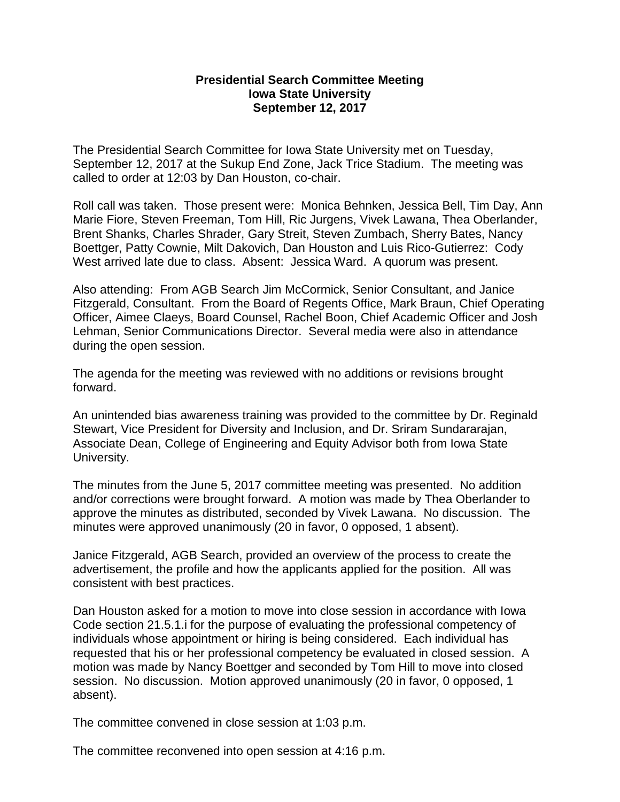## **Presidential Search Committee Meeting Iowa State University September 12, 2017**

The Presidential Search Committee for Iowa State University met on Tuesday, September 12, 2017 at the Sukup End Zone, Jack Trice Stadium. The meeting was called to order at 12:03 by Dan Houston, co-chair.

Roll call was taken. Those present were: Monica Behnken, Jessica Bell, Tim Day, Ann Marie Fiore, Steven Freeman, Tom Hill, Ric Jurgens, Vivek Lawana, Thea Oberlander, Brent Shanks, Charles Shrader, Gary Streit, Steven Zumbach, Sherry Bates, Nancy Boettger, Patty Cownie, Milt Dakovich, Dan Houston and Luis Rico-Gutierrez: Cody West arrived late due to class. Absent: Jessica Ward. A quorum was present.

Also attending: From AGB Search Jim McCormick, Senior Consultant, and Janice Fitzgerald, Consultant. From the Board of Regents Office, Mark Braun, Chief Operating Officer, Aimee Claeys, Board Counsel, Rachel Boon, Chief Academic Officer and Josh Lehman, Senior Communications Director. Several media were also in attendance during the open session.

The agenda for the meeting was reviewed with no additions or revisions brought forward.

An unintended bias awareness training was provided to the committee by Dr. Reginald Stewart, Vice President for Diversity and Inclusion, and Dr. Sriram Sundararajan, Associate Dean, College of Engineering and Equity Advisor both from Iowa State University.

The minutes from the June 5, 2017 committee meeting was presented. No addition and/or corrections were brought forward. A motion was made by Thea Oberlander to approve the minutes as distributed, seconded by Vivek Lawana. No discussion. The minutes were approved unanimously (20 in favor, 0 opposed, 1 absent).

Janice Fitzgerald, AGB Search, provided an overview of the process to create the advertisement, the profile and how the applicants applied for the position. All was consistent with best practices.

Dan Houston asked for a motion to move into close session in accordance with Iowa Code section 21.5.1.i for the purpose of evaluating the professional competency of individuals whose appointment or hiring is being considered. Each individual has requested that his or her professional competency be evaluated in closed session. A motion was made by Nancy Boettger and seconded by Tom Hill to move into closed session. No discussion. Motion approved unanimously (20 in favor, 0 opposed, 1 absent).

The committee convened in close session at 1:03 p.m.

The committee reconvened into open session at 4:16 p.m.